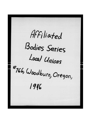Affiliated Bodies Series Local Unions #766, Woodburn, Oregon, 1946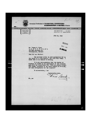| International Brotherhood of TEAMSTERS, CHAUFFEURS                                                                                                                                                                     | <b>WAREHOUSEMEN &amp; HELPERS of America</b>                  |
|------------------------------------------------------------------------------------------------------------------------------------------------------------------------------------------------------------------------|---------------------------------------------------------------|
| ATED<br>WITH<br>THE<br><b>AFFILI</b><br>RICAN                                                                                                                                                                          | LABOR<br><b>DF</b><br>D N                                     |
| <b>DAVE BECK</b><br>INTERNATIONAL<br><b>REBENTATIVE</b><br>ELEVEN                                                                                                                                                      | <b>552 DENNY</b><br>$\ldots$ EL 2544<br>SEATTLE 9, WABHINGTON |
|                                                                                                                                                                                                                        | <b>JULY 30, 1946</b>                                          |
|                                                                                                                                                                                                                        |                                                               |
|                                                                                                                                                                                                                        |                                                               |
| Mr. Thomas E. Flynn<br>I. P. of T. C. W. & H. of A.<br>222 Bast Michigan St.<br>Indianapolis, Indiana                                                                                                                  | RECEIVED                                                      |
| Dear Sir and Brother:                                                                                                                                                                                                  |                                                               |
| the result of a conversation I had with Phil Brady. I<br>asked that it be reduced to writing.                                                                                                                          | The enclosed letter is self-explanatory and is                |
| Woodburn be picked up and affiliation of that locality<br>made with our Salem Local 670. Will you please contact<br>Phil Brady, President of our Joint Council at Portland,<br>and make arrangements for the transfer? | It is my recommendation that the charter at                   |
| In appreciation, I am                                                                                                                                                                                                  |                                                               |
|                                                                                                                                                                                                                        | Fraternally yours,<br>Dave Beck                               |
| $DB$ $a$ w                                                                                                                                                                                                             |                                                               |
|                                                                                                                                                                                                                        |                                                               |
|                                                                                                                                                                                                                        |                                                               |
|                                                                                                                                                                                                                        |                                                               |
|                                                                                                                                                                                                                        |                                                               |
|                                                                                                                                                                                                                        |                                                               |
|                                                                                                                                                                                                                        | $Z = 37$                                                      |
|                                                                                                                                                                                                                        |                                                               |
|                                                                                                                                                                                                                        |                                                               |

ł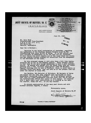**JOINT COUNCIL OF DRIVERS, NO. 37** 

I. B. OF T., C., W. AND H.



EUGENT TRANSTER NO. 37<br>
KEL'SO-LONGVIST TRAMSTER NO. 36<br>
CENERAL TRAMSTER NO. 162<br>
PORTLAND WARRIOUSIER NO. 162<br>
PORTLAND WARRIOUSIER NO. 2006<br>
BANTARY DRIVERS NO. 2006<br>
CROCERY, MEAT, MOTOROTCIS & MISC. DEPTES NO. 233<br>
AU

**500 LABOR TEMPLE** PORTLAND 4, OREGON

> July 26, 1946. RECEIVED

**AUG 1** 1945

Í

Mr. Dave Beck International Vice-President I.B. of T.C.W. & H. of A. 552 Denny Way Seattle, Washington

Dear Sir & Brother:-

Relative to our brief conversation of yesterday, regarding the membership of the Woodburn Cannery Workers Local No. 766 transferring into Local No.670 of Salem. It is our opinion that this transfer of membership is for the best for all concerned. It will remove the plant complex out of the local which now exists and has created cliques looking for favoritism from the management to the detriment of the local.

By this proposed change it will give them a full time representative who is not on the Company payroll. Their present status<br>is that they do not have enough membership to have a paid representative. By making this change into the Salem local they are trans-<br>ferring into a fine, militant organization under Ed Benjamin.<br>Regular meetings will be held in Woodburn, which is about twelve or thirteen miles from Salem, just the same as at the present time but under the charter of Local 670.

Lew Harkins, Bob Melquist of Hillaboro, Ed Benjamin of Salem and myself did not take snap judgment when approached by their membership requesting this transfer. It is my personal opinion that this is a good progressive move and trust that you as well as the International office will concur in this change. If complied with I shall await your instructions as to picking up the seal, the charter, stamp and etc., as you may reouest.

In sincere appreciation of the many past favors and with kindest personal regards, I remain

Fraternally yours,

Joint Council of Drivers No.37

By: ident.

**PB:bd** 

499.90

"HAVE IT DELIVERED"